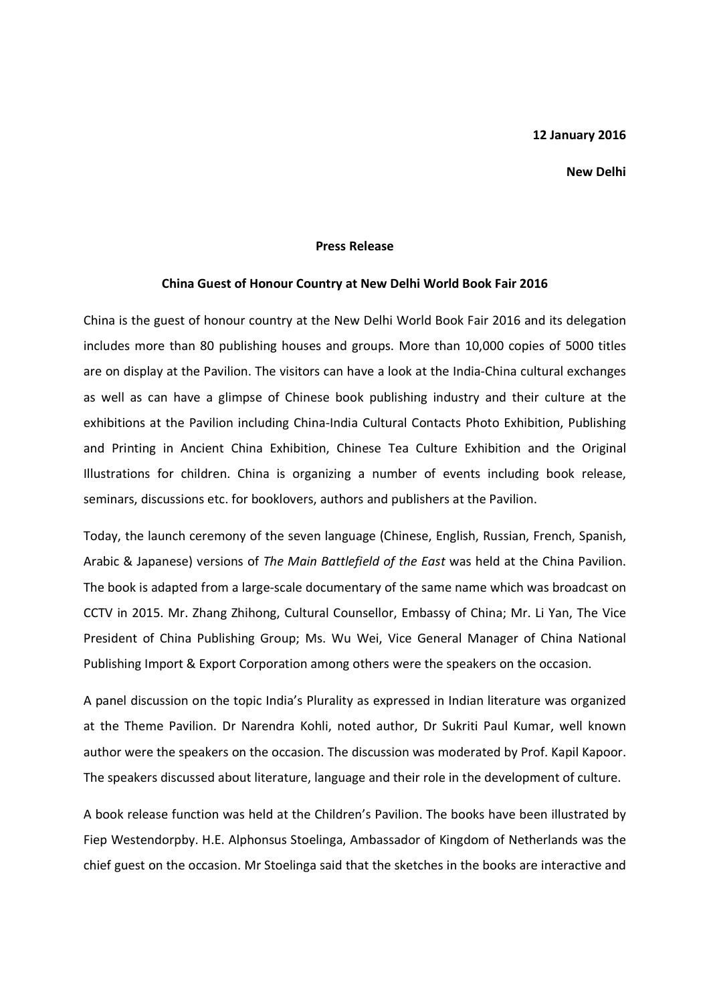## 12 January 2016

## New Delhi

## Press Release

## China Guest of Honour Country at New Delhi World Book Fair 2016

China is the guest of honour country at the New Delhi World Book Fair 2016 and its delegation includes more than 80 publishing houses and groups. More than 10,000 copies of 5000 titles are on display at the Pavilion. The visitors can have a look at the India-China cultural exchanges as well as can have a glimpse of Chinese book publishing industry and their culture at the exhibitions at the Pavilion including China-India Cultural Contacts Photo Exhibition, Publishing and Printing in Ancient China Exhibition, Chinese Tea Culture Exhibition and the Original Illustrations for children. China is organizing a number of events including book release, seminars, discussions etc. for booklovers, authors and publishers at the Pavilion.

Today, the launch ceremony of the seven language (Chinese, English, Russian, French, Spanish, Arabic & Japanese) versions of The Main Battlefield of the East was held at the China Pavilion. The book is adapted from a large-scale documentary of the same name which was broadcast on CCTV in 2015. Mr. Zhang Zhihong, Cultural Counsellor, Embassy of China; Mr. Li Yan, The Vice President of China Publishing Group; Ms. Wu Wei, Vice General Manager of China National Publishing Import & Export Corporation among others were the speakers on the occasion.

A panel discussion on the topic India's Plurality as expressed in Indian literature was organized at the Theme Pavilion. Dr Narendra Kohli, noted author, Dr Sukriti Paul Kumar, well known author were the speakers on the occasion. The discussion was moderated by Prof. Kapil Kapoor. The speakers discussed about literature, language and their role in the development of culture.

A book release function was held at the Children's Pavilion. The books have been illustrated by Fiep Westendorpby. H.E. Alphonsus Stoelinga, Ambassador of Kingdom of Netherlands was the chief guest on the occasion. Mr Stoelinga said that the sketches in the books are interactive and